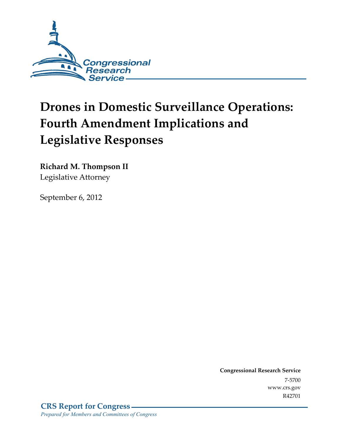

# **Drones in Domestic Surveillance Operations: Fourth Amendment Implications and Legislative Responses**

**Richard M. Thompson II**  Legislative Attorney

September 6, 2012

**Congressional Research Service**  7-5700 www.crs.gov R42701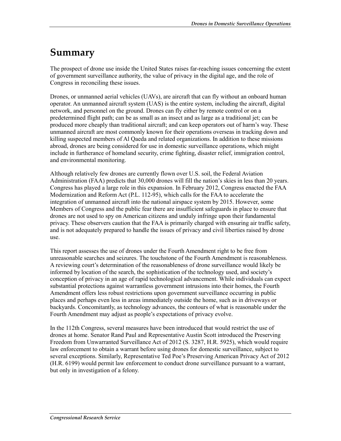# **Summary**

The prospect of drone use inside the United States raises far-reaching issues concerning the extent of government surveillance authority, the value of privacy in the digital age, and the role of Congress in reconciling these issues.

Drones, or unmanned aerial vehicles (UAVs), are aircraft that can fly without an onboard human operator. An unmanned aircraft system (UAS) is the entire system, including the aircraft, digital network, and personnel on the ground. Drones can fly either by remote control or on a predetermined flight path; can be as small as an insect and as large as a traditional jet; can be produced more cheaply than traditional aircraft; and can keep operators out of harm's way. These unmanned aircraft are most commonly known for their operations overseas in tracking down and killing suspected members of Al Qaeda and related organizations. In addition to these missions abroad, drones are being considered for use in domestic surveillance operations, which might include in furtherance of homeland security, crime fighting, disaster relief, immigration control, and environmental monitoring.

Although relatively few drones are currently flown over U.S. soil, the Federal Aviation Administration (FAA) predicts that 30,000 drones will fill the nation's skies in less than 20 years. Congress has played a large role in this expansion. In February 2012, Congress enacted the FAA Modernization and Reform Act (P.L. 112-95), which calls for the FAA to accelerate the integration of unmanned aircraft into the national airspace system by 2015. However, some Members of Congress and the public fear there are insufficient safeguards in place to ensure that drones are not used to spy on American citizens and unduly infringe upon their fundamental privacy. These observers caution that the FAA is primarily charged with ensuring air traffic safety, and is not adequately prepared to handle the issues of privacy and civil liberties raised by drone use.

This report assesses the use of drones under the Fourth Amendment right to be free from unreasonable searches and seizures. The touchstone of the Fourth Amendment is reasonableness. A reviewing court's determination of the reasonableness of drone surveillance would likely be informed by location of the search, the sophistication of the technology used, and society's conception of privacy in an age of rapid technological advancement. While individuals can expect substantial protections against warrantless government intrusions into their homes, the Fourth Amendment offers less robust restrictions upon government surveillance occurring in public places and perhaps even less in areas immediately outside the home, such as in driveways or backyards. Concomitantly, as technology advances, the contours of what is reasonable under the Fourth Amendment may adjust as people's expectations of privacy evolve.

In the 112th Congress, several measures have been introduced that would restrict the use of drones at home. Senator Rand Paul and Representative Austin Scott introduced the Preserving Freedom from Unwarranted Surveillance Act of 2012 (S. 3287, H.R. 5925), which would require law enforcement to obtain a warrant before using drones for domestic surveillance, subject to several exceptions. Similarly, Representative Ted Poe's Preserving American Privacy Act of 2012 (H.R. 6199) would permit law enforcement to conduct drone surveillance pursuant to a warrant, but only in investigation of a felony.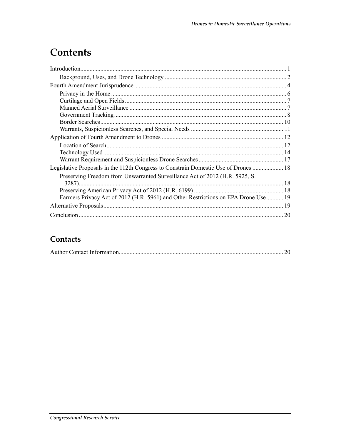# Contents

| Legislative Proposals in the 112th Congress to Constrain Domestic Use of Drones  18 |    |
|-------------------------------------------------------------------------------------|----|
| Preserving Freedom from Unwarranted Surveillance Act of 2012 (H.R. 5925, S.         |    |
|                                                                                     |    |
|                                                                                     |    |
| Farmers Privacy Act of 2012 (H.R. 5961) and Other Restrictions on EPA Drone Use  19 |    |
|                                                                                     |    |
|                                                                                     | 20 |

### Contacts

|--|--|--|--|--|--|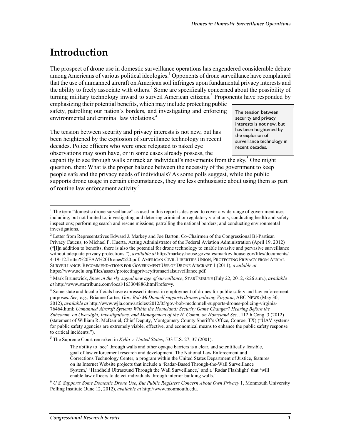# **Introduction**

1

The prospect of drone use in domestic surveillance operations has engendered considerable debate among Americans of various political ideologies.<sup>1</sup> Opponents of drone surveillance have complained that the use of unmanned aircraft on American soil infringes upon fundamental privacy interests and the ability to freely associate with others.<sup>2</sup> Some are specifically concerned about the possibility of turning military technology inward to surveil American citizens.<sup>3</sup> Proponents have responded by

emphasizing their potential benefits, which may include protecting public safety, patrolling our nation's borders, and investigating and enforcing environmental and criminal law violations.<sup>4</sup>

The tension between security and privacy interests is not new, but has been heightened by the explosion of surveillance technology in recent decades. Police officers who were once relegated to naked eye observations may soon have, or in some cases already possess, the

The tension between security and privacy interests is not new, but has been heightened by the explosion of surveillance technology in recent decades.

capability to see through walls or track an individual's movements from the sky.<sup>5</sup> One might question, then: What is the proper balance between the necessity of the government to keep people safe and the privacy needs of individuals? As some polls suggest, while the public supports drone usage in certain circumstances, they are less enthusiastic about using them as part of routine law enforcement activity.<sup>6</sup>

5 The Supreme Court remarked in *Kyllo v. United States*, 533 U.S. 27, 37 (2001):

 $<sup>1</sup>$  The term "domestic drone surveillance" as used in this report is designed to cover a wide range of government uses</sup> including, but not limited to, investigating and deterring criminal or regulatory violations; conducting health and safety inspections; performing search and rescue missions; patrolling the national borders; and conducting environmental investigations.

<sup>&</sup>lt;sup>2</sup> Letter from Representatives Edward J. Markey and Joe Barton, Co-Chairmen of the Congressional Bi-Partisan Privacy Caucus, to Michael P. Huerta, Acting Administrator of the Federal Aviation Administration (April 19, 2012) ("[I]n addition to benefits, there is also the potential for drone technology to enable invasive and pervasive surveillance without adequate privacy protections."), *available at* http://markey.house.gov/sites/markey.house.gov/files/documents/ 4-19-12.Letter%20FAA%20Drones%20.pdf; AMERICAN CIVIL LIBERTIES UNION, PROTECTING PRIVACY FROM AERIAL SURVEILLANCE: RECOMMENDATIONS FOR GOVERNMENT USE OF DRONE AIRCRAFT 1 (2011), *available at*  https://www.aclu.org/files/assets/protectingprivacyfromaerialsurveillance.pdf.

<sup>3</sup> Mark Brunswick, *Spies in the sky signal new age of surveillance*, STARTRIBUNE (July 22, 2012, 6:26 a.m.), *available at* http://www.startribune.com/local/163304886.html?refer=y.

<sup>&</sup>lt;sup>4</sup> Some state and local officials have expressed interest in employment of drones for public safety and law enforcement purposes. *See, e.g.*, Brianne Carter, *Gov. Bob McDonnell supports drones policing Virginia*, ABC NEWS (May 30, 2012), *available at* http://www.wjla.com/articles/2012/05/gov-bob-mcdonnell-supports-drones-policing-virginia-76464.html; *Unmanned Aircraft Systems Within the Homeland: Security Game Changer? Hearing Before the Subcomm. on Oversight, Investigations, and Management of the H. Comm. on Homeland Sec.*, 112th Cong. 3 (2012) (statement of William R. McDaniel, Chief Deputy, Montgomery County Sheriff's Office, Conroe, TX) ("UAV systems for public safety agencies are extremely viable, effective, and economical means to enhance the public safety response to critical incidents.").

The ability to 'see' through walls and other opaque barriers is a clear, and scientifically feasible, goal of law enforcement research and development. The National Law Enforcement and Corrections Technology Center, a program within the United States Department of Justice, features on its Internet Website projects that include a 'Radar-Based Through-the-Wall Surveillance System,' 'Handheld Ultrasound Through the Wall Surveillance,' and a 'Radar Flashlight' that 'will enable law officers to detect individuals through interior building walls.'

<sup>6</sup> *U.S. Supports Some Domestic Drone Use*, *But Public Registers Concern About Own Privacy* 1, Monmouth University Polling Institute (June 12, 2012), *available at* http://www.monmouth.edu.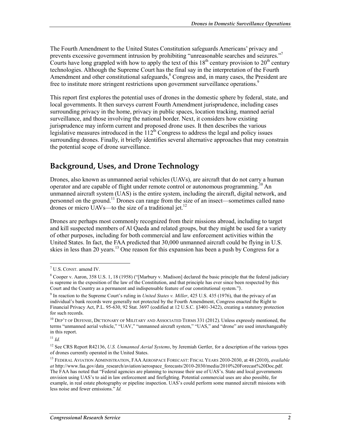The Fourth Amendment to the United States Constitution safeguards Americans' privacy and prevents excessive government intrusion by prohibiting "unreasonable searches and seizures."<sup>7</sup> Courts have long grappled with how to apply the text of this  $18<sup>th</sup>$  century provision to  $20<sup>th</sup>$  century technologies. Although the Supreme Court has the final say in the interpretation of the Fourth Amendment and other constitutional safeguards,<sup>8</sup> Congress and, in many cases, the President are free to institute more stringent restrictions upon government surveillance operations.<sup>9</sup>

This report first explores the potential uses of drones in the domestic sphere by federal, state, and local governments. It then surveys current Fourth Amendment jurisprudence, including cases surrounding privacy in the home, privacy in public spaces, location tracking, manned aerial surveillance, and those involving the national border. Next, it considers how existing jurisprudence may inform current and proposed drone uses. It then describes the various legislative measures introduced in the  $112^{th}$  Congress to address the legal and policy issues surrounding drones. Finally, it briefly identifies several alternative approaches that may constrain the potential scope of drone surveillance.

### **Background, Uses, and Drone Technology**

Drones, also known as unmanned aerial vehicles (UAVs), are aircraft that do not carry a human operator and are capable of flight under remote control or autonomous programming.<sup>10</sup> An unmanned aircraft system (UAS) is the entire system, including the aircraft, digital network, and personnel on the ground.11 Drones can range from the size of an insect—sometimes called nano drones or micro UAVs—to the size of a traditional jet.<sup>12</sup>

Drones are perhaps most commonly recognized from their missions abroad, including to target and kill suspected members of Al Qaeda and related groups, but they might be used for a variety of other purposes, including for both commercial and law enforcement activities within the United States. In fact, the FAA predicted that 30,000 unmanned aircraft could be flying in U.S. skies in less than 20 years.<sup>13</sup> One reason for this expansion has been a push by Congress for a

<sup>7</sup> U.S. CONST. amend IV.

<sup>&</sup>lt;sup>8</sup> Cooper v. Aaron, 358 U.S. 1, 18 (1958) ("[Marbury v. Madison] declared the basic principle that the federal judiciary is supreme in the exposition of the law of the Constitution, and that principle has ever since been respected by this Court and the Country as a permanent and indispensable feature of our constitutional system.").

<sup>9</sup> In reaction to the Supreme Court's ruling in *United States v. Miller*, 425 U.S. 435 (1976), that the privacy of an individual's bank records were generally not protected by the Fourth Amendment, Congress enacted the Right to Financial Privacy Act, P.L. 95-630, 92 Stat. 3697 (codified at 12 U.S.C. §3401-3422), creating a statutory protection for such records.

<sup>&</sup>lt;sup>10</sup> DEP'T OF DEFENSE, DICTIONARY OF MILITARY AND ASSOCIATED TERMS 331 (2012). Unless expressly mentioned, the terms "unmanned aerial vehicle," "UAV," "unmanned aircraft system," "UAS," and "drone" are used interchangeably in this report.

 $11$  *Id.* 

<sup>12</sup> See CRS Report R42136, *U.S. Unmanned Aerial Systems*, by Jeremiah Gertler, for a description of the various types of drones currently operated in the United States.

<sup>13</sup> FEDERAL AVIATION ADMINISTRATION, FAA AEROSPACE FORECAST: FISCAL YEARS 2010-2030, at 48 (2010), *available at* http://www.faa.gov/data\_research/aviation/aerospace\_forecasts/2010-2030/media/2010%20Forecast%20Doc.pdf. The FAA has noted that "Federal agencies are planning to increase their use of UAS's. State and local governments envision using UAS's to aid in law enforcement and firefighting. Potential commercial uses are also possible, for example, in real estate photography or pipeline inspection. UAS's could perform some manned aircraft missions with less noise and fewer emissions." *Id.*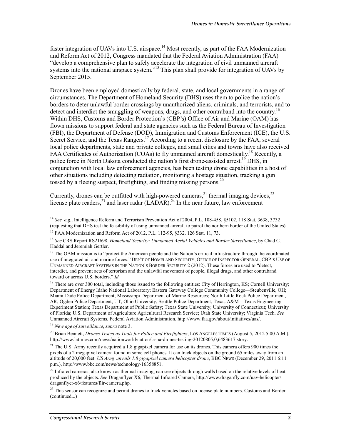faster integration of UAVs into U.S. airspace.<sup>14</sup> Most recently, as part of the FAA Modernization and Reform Act of 2012, Congress mandated that the Federal Aviation Administration (FAA) "develop a comprehensive plan to safely accelerate the integration of civil unmanned aircraft systems into the national airspace system."<sup>15</sup> This plan shall provide for integration of UAVs by September 2015.

Drones have been employed domestically by federal, state, and local governments in a range of circumstances. The Department of Homeland Security (DHS) uses them to police the nation's borders to deter unlawful border crossings by unauthorized aliens, criminals, and terrorists, and to detect and interdict the smuggling of weapons, drugs, and other contraband into the country.<sup>16</sup> Within DHS, Customs and Border Protection's (CBP's) Office of Air and Marine (OAM) has flown missions to support federal and state agencies such as the Federal Bureau of Investigation (FBI), the Department of Defense (DOD), Immigration and Customs Enforcement (ICE), the U.S. Secret Service, and the Texas Rangers.<sup>17</sup> According to a recent disclosure by the FAA, several local police departments, state and private colleges, and small cities and towns have also received FAA Certificates of Authorization (COAs) to fly unmanned aircraft domestically.<sup>18</sup> Recently, a police force in North Dakota conducted the nation's first drone-assisted arrest.<sup>19</sup> DHS, in conjunction with local law enforcement agencies, has been testing drone capabilities in a host of other situations including detecting radiation, monitoring a hostage situation, tracking a gun tossed by a fleeing suspect, firefighting, and finding missing persons.<sup>20</sup>

Currently, drones can be outfitted with high-powered cameras,<sup>21</sup> thermal imaging devices,<sup>22</sup> license plate readers,  $^{23}$  and laser radar (LADAR).<sup>24</sup> In the near future, law enforcement

<sup>19</sup> *New age of surveillance*, *supra* note 3.

20 Brian Bennett, *Drones Tested as Tools for Police and Firefighters*, LOS ANGELES TIMES (August 5, 2012 5:00 A.M.), http://www.latimes.com/news/nationworld/nation/la-na-drones-testing-20120805,0,6483617.story.

<sup>1</sup> <sup>14</sup> *See, e.g.*, Intelligence Reform and Terrorism Prevention Act of 2004, P.L. 108-458, §5102, 118 Stat. 3638, 3732 (requesting that DHS test the feasibility of using unmanned aircraft to patrol the northern border of the United States).

<sup>15</sup> FAA Modernization and Reform Act of 2012, P.L. 112-95, §332, 126 Stat. 11, 73.

<sup>16</sup> *See* CRS Report RS21698, *Homeland Security: Unmanned Aerial Vehicles and Border Surveillance*, by Chad C. Haddal and Jeremiah Gertler.

<sup>&</sup>lt;sup>17</sup> The OAM mission is to "protect the American people and the Nation's critical infrastructure through the coordinated use of integrated air and marine forces." DEP'T OF HOMELAND SECURITY, OFFICE OF INSPECTOR GENERAL, CBP'S USE OF UNMANNED AIRCRAFT SYSTEMS IN THE NATION'S BORDER SECURITY 2 (2012). These forces are used to "detect, interdict, and prevent acts of terrorism and the unlawful movement of people, illegal drugs, and other contraband toward or across U.S. borders." *Id.*

<sup>&</sup>lt;sup>18</sup> There are over 300 total, including those issued to the following entities: City of Herrington, KS; Cornell University; Department of Energy Idaho National Laboratory; Eastern Gateway College Community College—Steubenville, OH; Miami-Dade Police Department; Mississippi Department of Marine Resources; North Little Rock Police Department, AR; Ogden Police Department, UT; Ohio University; Seattle Police Department; Texas A&M—Texas Engineering Experiment Station; Texas Department of Public Safety; Texas State University; University of Connecticut; University of Florida; U.S. Department of Agriculture Agricultural Research Service; Utah State University; Virginia Tech. *See*  Unmanned Aircraft Systems, Federal Aviation Administration, http://www.faa.gov/about/initiatives/uas/.

<sup>&</sup>lt;sup>21</sup> The U.S. Army recently acquired a 1.8 gigapixel camera for use on its drones. This camera offers 900 times the pixels of a 2 megapixel camera found in some cell phones. It can track objects on the ground 65 miles away from an altitude of 20,000 feet. *US Army unveils 1.8 gigapixel camera helicopter drone*, BBC NEWS (December 29, 2011 6:11 p.m.), http://www.bbc.com/news/technology-16358851.

 $^{22}$  Infrared cameras, also known as thermal imaging, can see objects through walls based on the relative levels of heat produced by the objects. *See* Draganflyer X6, Thermal Infrared Camera, http://www.draganfly.com/uav-helicopter/ draganflyer-x6/features/flir-camera.php.

 $^{23}$  This sensor can recognize and permit drones to track vehicles based on license plate numbers. Customs and Border (continued...)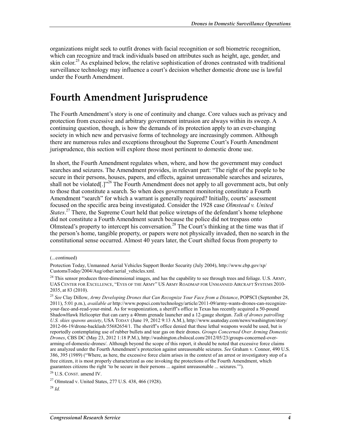organizations might seek to outfit drones with facial recognition or soft biometric recognition, which can recognize and track individuals based on attributes such as height, age, gender, and skin color.<sup>25</sup> As explained below, the relative sophistication of drones contrasted with traditional surveillance technology may influence a court's decision whether domestic drone use is lawful under the Fourth Amendment.

### **Fourth Amendment Jurisprudence**

The Fourth Amendment's story is one of continuity and change. Core values such as privacy and protection from excessive and arbitrary government intrusion are always within its sweep. A continuing question, though, is how the demands of its protection apply to an ever-changing society in which new and pervasive forms of technology are increasingly common. Although there are numerous rules and exceptions throughout the Supreme Court's Fourth Amendment jurisprudence, this section will explore those most pertinent to domestic drone use.

In short, the Fourth Amendment regulates when, where, and how the government may conduct searches and seizures. The Amendment provides, in relevant part: "The right of the people to be secure in their persons, houses, papers, and effects, against unreasonable searches and seizures, shall not be violated[.]"<sup>26</sup> The Fourth Amendment does not apply to all government acts, but only to those that constitute a search. So when does government monitoring constitute a Fourth Amendment "search" for which a warrant is generally required? Initially, courts' assessment focused on the specific area being investigated. Consider the 1928 case *Olmstead v. United States*.<sup>27</sup> There, the Supreme Court held that police wiretaps of the defendant's home telephone did not constitute a Fourth Amendment search because the police did not trespass onto Olmstead's property to intercept his conversation.<sup>28</sup> The Court's thinking at the time was that if the person's home, tangible property, or papers were not physically invaded, then no search in the constitutional sense occurred. Almost 40 years later, the Court shifted focus from property to

<sup>(...</sup>continued)

Protection Today, Unmanned Aerial Vehicles Support Border Security (July 2004), http://www.cbp.gov/xp/ CustomsToday/2004/Aug/other/aerial\_vehicles.xml.

<sup>&</sup>lt;sup>24</sup> This sensor produces three-dimensional images, and has the capability to see through trees and foliage. U.S. ARMY, UAS CENTER FOR EXCELLENCE, "EYES OF THE ARMY" US ARMY ROADMAP FOR UNMANNED AIRCRAFT SYSTEMS 2010- 2035, at 83 (2010).

<sup>25</sup> *See* Clay Dillow, *Army Developing Drones that Can Recognize Your Face from a Distance*, POPSCI (September 28, 2011), 5:01 p.m.), *available at* http://www.popsci.com/technology/article/2011-09/army-wants-drones-can-recognizeyour-face-and-read-your-mind. As for weaponization, a sheriff's office in Texas has recently acquired a 50-pound ShadowHawk Helicopter that can carry a 40mm grenade launcher and a 12-gauge shotgun. *Talk of drones patrolling U.S. skies spawns anxiety*, USA TODAY (June 19, 2012 9:13 A.M.), http://www.usatoday.com/news/washington/story/ 2012-06-19/drone-backlash/55682654/1. The sheriff's office denied that these lethal weapons would be used, but is reportedly contemplating use of rubber bullets and tear gas on their drones. *Groups Concerned Over Arming Domestic Drones*, CBS DC (May 23, 2012 1:18 P.M.), http://washington.cbslocal.com/2012/05/23/groups-concerned-overarming-of-domestic-drones/. Although beyond the scope of this report, it should be noted that excessive force claims are analyzed under the Fourth Amendment's protection against unreasonable seizures. *See* Graham v. Connor, 490 U.S. 386, 395 (1989) ("Where, as here, the excessive force claim arises in the context of an arrest or investigatory stop of a free citizen, it is most properly characterized as one invoking the protections of the Fourth Amendment, which guarantees citizens the right 'to be secure in their persons ... against unreasonable ... seizures.'").

<sup>26</sup> U.S. CONST. amend IV.

<sup>27</sup> Olmstead v. United States, 277 U.S. 438, 466 (1928).

 $^{28}$  *Id.*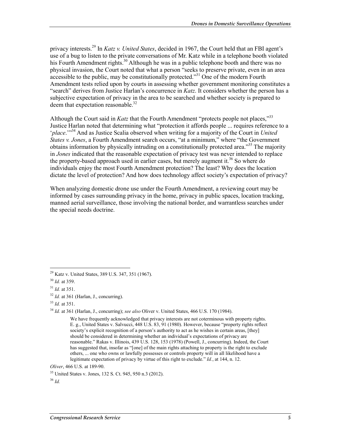privacy interests.29 In *Katz v. United States*, decided in 1967, the Court held that an FBI agent's use of a bug to listen to the private conversations of Mr. Katz while in a telephone booth violated his Fourth Amendment rights.<sup>30</sup> Although he was in a public telephone booth and there was no physical invasion, the Court noted that what a person "seeks to preserve private, even in an area accessible to the public, may be constitutionally protected.<sup>331</sup> One of the modern Fourth Amendment tests relied upon by courts in assessing whether government monitoring constitutes a "search" derives from Justice Harlan's concurrence in *Katz*. It considers whether the person has a subjective expectation of privacy in the area to be searched and whether society is prepared to deem that expectation reasonable.<sup>32</sup>

Although the Court said in *Katz* that the Fourth Amendment "protects people not places,"<sup>33</sup> Justice Harlan noted that determining what "protection it affords people ... requires reference to a '*place*.'"34 And as Justice Scalia observed when writing for a majority of the Court in *United States v. Jones*, a Fourth Amendment search occurs, "at a minimum," where "the Government obtains information by physically intruding on a constitutionally protected area."<sup>35</sup> The majority in *Jones* indicated that the reasonable expectation of privacy test was never intended to replace the property-based approach used in earlier cases, but merely augment it.<sup>36</sup> So where do individuals enjoy the most Fourth Amendment protection? The least? Why does the location dictate the level of protection? And how does technology affect society's expectation of privacy?

When analyzing domestic drone use under the Fourth Amendment, a reviewing court may be informed by cases surrounding privacy in the home, privacy in public spaces, location tracking, manned aerial surveillance, those involving the national border, and warrantless searches under the special needs doctrine.

1

<sup>36</sup> *Id.* 

<sup>29</sup> Katz v. United States, 389 U.S. 347, 351 (1967).

<sup>30</sup> *Id.* at 359.

<sup>31</sup> *Id.* at 351.

<sup>32</sup> *Id.* at 361 (Harlan, J., concurring).

<sup>33</sup> *Id.* at 351.

<sup>34</sup> *Id.* at 361 (Harlan, J., concurring); *see also* Oliver v. United States, 466 U.S. 170 (1984).

We have frequently acknowledged that privacy interests are not coterminous with property rights. E. g., United States v. Salvucci, 448 U.S. 83, 91 (1980). However, because "property rights reflect society's explicit recognition of a person's authority to act as he wishes in certain areas, [they] should be considered in determining whether an individual's expectations of privacy are reasonable." Rakas v. Illinois, 439 U.S. 128, 153 (1978) (Powell, J., concurring). Indeed, the Court has suggested that, insofar as "[one] of the main rights attaching to property is the right to exclude others, ... one who owns or lawfully possesses or controls property will in all likelihood have a legitimate expectation of privacy by virtue of this right to exclude." *Id.*, at 144, n. 12.

*Oliver*, 466 U.S. at 189-90.

<sup>35</sup> United States v. Jones, 132 S. Ct. 945, 950 n.3 (2012).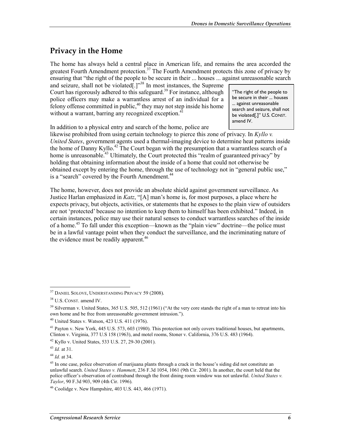### **Privacy in the Home**

The home has always held a central place in American life, and remains the area accorded the greatest Fourth Amendment protection.<sup>37</sup> The Fourth Amendment protects this zone of privacy by ensuring that "the right of the people to be secure in their ... houses ... against unreasonable search

and seizure, shall not be violated[.]"<sup>38</sup> In most instances, the Supreme Court has rigorously adhered to this safeguard.<sup>39</sup> For instance, although police officers may make a warrantless arrest of an individual for a felony offense committed in public, $40$  they may not step inside his home without a warrant, barring any recognized exception. $41$ 

"The right of the people to be secure in their ... houses ... against unreasonable search and seizure, shall not be violated[.]" U.S. CONST. amend IV.

In addition to a physical entry and search of the home, police are

likewise prohibited from using certain technology to pierce this zone of privacy. In *Kyllo v. United States*, government agents used a thermal-imaging device to determine heat patterns inside the home of Danny Kyllo.<sup>42</sup> The Court began with the presumption that a warrantless search of a home is unreasonable.<sup>43</sup> Ultimately, the Court protected this "realm of guaranteed privacy" by holding that obtaining information about the inside of a home that could not otherwise be obtained except by entering the home, through the use of technology not in "general public use," is a "search" covered by the Fourth Amendment.<sup>44</sup>

The home, however, does not provide an absolute shield against government surveillance. As Justice Harlan emphasized in *Katz*, "[A] man's home is, for most purposes, a place where he expects privacy, but objects, activities, or statements that he exposes to the plain view of outsiders are not 'protected' because no intention to keep them to himself has been exhibited." Indeed, in certain instances, police may use their natural senses to conduct warrantless searches of the inside of a home.45 To fall under this exception—known as the "plain view" doctrine—the police must be in a lawful vantage point when they conduct the surveillance, and the incriminating nature of the evidence must be readily apparent.<sup>46</sup>

<sup>37</sup> DANIEL SOLOVE, UNDERSTANDING PRIVACY 59 (2008).

<sup>38</sup> U.S. CONST. amend IV.

 $39$  Silverman v. United States, 365 U.S. 505, 512 (1961) ("At the very core stands the right of a man to retreat into his own home and be free from unreasonable government intrusion.").

 $40$  United States v. Watson, 423 U.S. 411 (1976).

<sup>&</sup>lt;sup>41</sup> Payton v. New York, 445 U.S. 573, 603 (1980). This protection not only covers traditional houses, but apartments, Clinton v. Virginia, 377 U.S 158 (1963), and motel rooms, Stoner v. California, 376 U.S. 483 (1964).

<sup>42</sup> Kyllo v. United States, 533 U.S. 27, 29-30 (2001).

<sup>43</sup> *Id.* at 31.

<sup>44</sup> *Id.* at 34.

<sup>&</sup>lt;sup>45</sup> In one case, police observation of marijuana plants through a crack in the house's siding did not constitute an unlawful search. *United States v. Hammett*, 236 F.3d 1054, 1061 (9th Cir. 2001). In another, the court held that the police officer's observation of contraband through the front dining room window was not unlawful. *United States v. Taylor*, 90 F.3d 903, 909 (4th Cir. 1996).

<sup>46</sup> Coolidge v. New Hampshire, 403 U.S. 443, 466 (1971).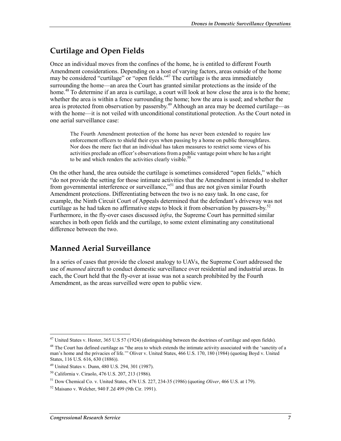### **Curtilage and Open Fields**

Once an individual moves from the confines of the home, he is entitled to different Fourth Amendment considerations. Depending on a host of varying factors, areas outside of the home may be considered "curtilage" or "open fields."<sup>47</sup> The curtilage is the area immediately surrounding the home—an area the Court has granted similar protections as the inside of the home.<sup>48</sup> To determine if an area is curtilage, a court will look at how close the area is to the home; whether the area is within a fence surrounding the home; how the area is used; and whether the area is protected from observation by passersby.<sup>49</sup> Although an area may be deemed curtilage—as with the home—it is not veiled with unconditional constitutional protection. As the Court noted in one aerial surveillance case:

The Fourth Amendment protection of the home has never been extended to require law enforcement officers to shield their eyes when passing by a home on public thoroughfares. Nor does the mere fact that an individual has taken measures to restrict some views of his activities preclude an officer's observations from a public vantage point where he has a right to be and which renders the activities clearly visible. $50$ 

On the other hand, the area outside the curtilage is sometimes considered "open fields," which "do not provide the setting for those intimate activities that the Amendment is intended to shelter from governmental interference or surveillance,"<sup>51</sup> and thus are not given similar Fourth Amendment protections. Differentiating between the two is no easy task. In one case, for example, the Ninth Circuit Court of Appeals determined that the defendant's driveway was not curtilage as he had taken no affirmative steps to block it from observation by passers-by.<sup>52</sup> Furthermore, in the fly-over cases discussed *infra*, the Supreme Court has permitted similar searches in both open fields and the curtilage, to some extent eliminating any constitutional difference between the two.

### **Manned Aerial Surveillance**

In a series of cases that provide the closest analogy to UAVs, the Supreme Court addressed the use of *manned* aircraft to conduct domestic surveillance over residential and industrial areas. In each, the Court held that the fly-over at issue was not a search prohibited by the Fourth Amendment, as the areas surveilled were open to public view.

<sup>1</sup> <sup>47</sup> United States v. Hester, 365 U.S 57 (1924) (distinguishing between the doctrines of curtilage and open fields).

 $48$  The Court has defined curtilage as "the area to which extends the intimate activity associated with the 'sanctity of a man's home and the privacies of life.'" Oliver v. United States, 466 U.S. 170, 180 (1984) (quoting Boyd v. United States, 116 U.S. 616, 630 (1886)).

<sup>49</sup> United States v. Dunn, 480 U.S. 294, 301 (1987).

<sup>50</sup> California v. Ciraolo, 476 U.S. 207, 213 (1986).

<sup>51</sup> Dow Chemical Co. v. United States, 476 U.S. 227, 234-35 (1986) (quoting *Oliver*, 466 U.S. at 179).

<sup>52</sup> Maisano v. Welcher, 940 F.2d 499 (9th Cir. 1991).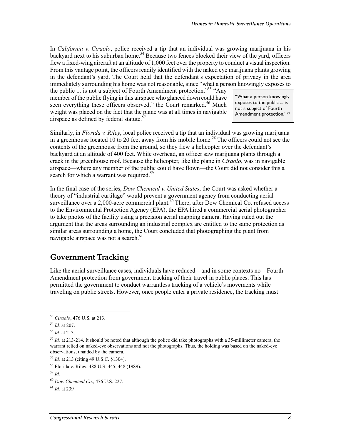In *California v. Ciraolo*, police received a tip that an individual was growing marijuana in his backyard next to his suburban home.<sup>54</sup> Because two fences blocked their view of the yard, officers flew a fixed-wing aircraft at an altitude of 1,000 feet over the property to conduct a visual inspection. From this vantage point, the officers readily identified with the naked eye marijuana plants growing in the defendant's yard. The Court held that the defendant's expectation of privacy in the area immediately surrounding his home was not reasonable, since "what a person knowingly exposes to

the public  $\ldots$  is not a subject of Fourth Amendment protection."<sup>55</sup> "Any member of the public flying in this airspace who glanced down could have seen everything these officers observed," the Court remarked.<sup>56</sup> Much weight was placed on the fact that the plane was at all times in navigable airspace as defined by federal statute.<sup>5</sup>

"What a person knowingly exposes to the public ... is not a subject of Fourth Amendment protection."53

Similarly, in *Florida v. Riley*, local police received a tip that an individual was growing marijuana in a greenhouse located 10 to 20 feet away from his mobile home.<sup>58</sup> The officers could not see the contents of the greenhouse from the ground, so they flew a helicopter over the defendant's backyard at an altitude of 400 feet. While overhead, an officer saw marijuana plants through a crack in the greenhouse roof. Because the helicopter, like the plane in *Ciraolo*, was in navigable airspace—where any member of the public could have flown—the Court did not consider this a search for which a warrant was required.<sup>59</sup>

In the final case of the series, *Dow Chemical v. United States*, the Court was asked whether a theory of "industrial curtilage" would prevent a government agency from conducting aerial surveillance over a 2,000-acre commercial plant.<sup>60</sup> There, after Dow Chemical Co. refused access to the Environmental Protection Agency (EPA), the EPA hired a commercial aerial photographer to take photos of the facility using a precision aerial mapping camera. Having ruled out the argument that the areas surrounding an industrial complex are entitled to the same protection as similar areas surrounding a home, the Court concluded that photographing the plant from navigable airspace was not a search. $61$ 

### **Government Tracking**

Like the aerial surveillance cases, individuals have reduced—and in some contexts no—Fourth Amendment protection from government tracking of their travel in public places. This has permitted the government to conduct warrantless tracking of a vehicle's movements while traveling on public streets. However, once people enter a private residence, the tracking must

<sup>&</sup>lt;u>.</u> <sup>53</sup> *Ciraolo*, 476 U.S. at 213.

<sup>54</sup> *Id.* at 207.

<sup>55</sup> *Id.* at 213.

<sup>56</sup> *Id.* at 213-214. It should be noted that although the police did take photographs with a 35-millimeter camera, the warrant relied on naked-eye observations and not the photographs. Thus, the holding was based on the naked-eye observations, unaided by the camera.

<sup>57</sup> *Id.* at 213 (citing 49 U.S.C. §1304).

<sup>58</sup> Florida v. Riley, 488 U.S. 445, 448 (1989).

<sup>59</sup> *Id.*

<sup>60</sup> *Dow Chemical Co*., 476 U.S. 227.

<sup>61</sup> *Id.* at 239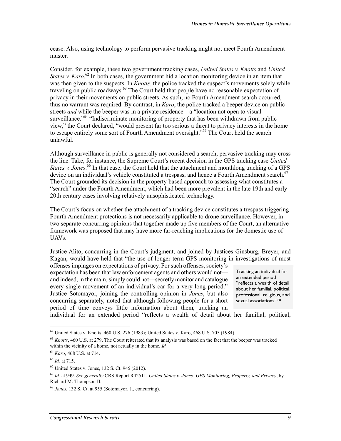cease. Also, using technology to perform pervasive tracking might not meet Fourth Amendment muster.

Consider, for example, these two government tracking cases, *United States v. Knotts* and *United States v. Karo.*<sup>62</sup> In both cases, the government hid a location monitoring device in an item that was then given to the suspects. In *Knotts*, the police tracked the suspect's movements solely while traveling on public roadways.<sup>63</sup> The Court held that people have no reasonable expectation of privacy in their movements on public streets. As such, no Fourth Amendment search occurred, thus no warrant was required. By contrast, in *Karo*, the police tracked a beeper device on public streets *and* while the beeper was in a private residence—a "location not open to visual surveillance.<sup>"64</sup> "Indiscriminate monitoring of property that has been withdrawn from public view," the Court declared, "would present far too serious a threat to privacy interests in the home to escape entirely some sort of Fourth Amendment oversight."<sup>65</sup> The Court held the search unlawful.

Although surveillance in public is generally not considered a search, pervasive tracking may cross the line. Take, for instance, the Supreme Court's recent decision in the GPS tracking case *United States v. Jones*. 66 In that case, the Court held that the attachment and monthlong tracking of a GPS device on an individual's vehicle constituted a trespass, and hence a Fourth Amendment search.<sup>67</sup> The Court grounded its decision in the property-based approach to assessing what constitutes a "search" under the Fourth Amendment, which had been more prevalent in the late 19th and early 20th century cases involving relatively unsophisticated technology.

The Court's focus on whether the attachment of a tracking device constitutes a trespass triggering Fourth Amendment protections is not necessarily applicable to drone surveillance. However, in two separate concurring opinions that together made up five members of the Court, an alternative framework was proposed that may have more far-reaching implications for the domestic use of UAVs.

Justice Alito, concurring in the Court's judgment, and joined by Justices Ginsburg, Breyer, and Kagan, would have held that "the use of longer term GPS monitoring in investigations of most

offenses impinges on expectations of privacy. For such offenses, society's expectation has been that law enforcement agents and others would not and indeed, in the main, simply could not—secretly monitor and catalogue every single movement of an individual's car for a very long period." Justice Sotomayor, joining the controlling opinion in *Jones*, but also concurring separately, noted that although following people for a short period of time conveys little information about them, tracking an

Tracking an individual for an extended period "reflects a wealth of detail about her familial, political, professional, religious, and sexual associations."68

individual for an extended period "reflects a wealth of detail about her familial, political,

 $62$  United States v. Knotts, 460 U.S. 276 (1983); United States v. Karo, 468 U.S. 705 (1984).

<sup>63</sup> *Knotts*, 460 U.S. at 279. The Court reiterated that its analysis was based on the fact that the beeper was tracked within the vicinity of a home, not actually in the home. *Id* 

<sup>64</sup> *Karo*, 468 U.S. at 714.

<sup>65</sup> *Id.* at 715.

<sup>66</sup> United States v. Jones, 132 S. Ct. 945 (2012).

<sup>67</sup> *Id.* at 949. *See generally* CRS Report R42511, *United States v. Jones: GPS Monitoring, Property, and Privacy*, by Richard M. Thompson II.

<sup>68</sup> *Jones*, 132 S. Ct. at 955 (Sotomayor, J., concurring).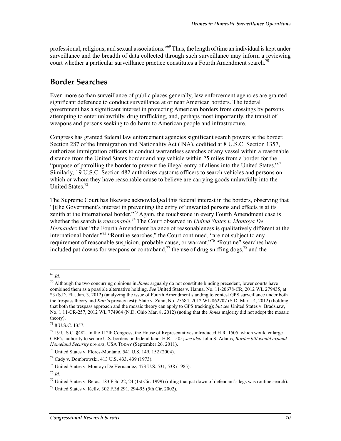professional, religious, and sexual associations."<sup>69</sup> Thus, the length of time an individual is kept under surveillance and the breadth of data collected through such surveillance may inform a reviewing court whether a particular surveillance practice constitutes a Fourth Amendment search.<sup>70</sup>

### **Border Searches**

Even more so than surveillance of public places generally, law enforcement agencies are granted significant deference to conduct surveillance at or near American borders. The federal government has a significant interest in protecting American borders from crossings by persons attempting to enter unlawfully, drug trafficking, and, perhaps most importantly, the transit of weapons and persons seeking to do harm to American people and infrastructure.

Congress has granted federal law enforcement agencies significant search powers at the border. Section 287 of the Immigration and Nationality Act (INA), codified at 8 U.S.C. Section 1357, authorizes immigration officers to conduct warrantless searches of any vessel within a reasonable distance from the United States border and any vehicle within 25 miles from a border for the "purpose of patrolling the border to prevent the illegal entry of aliens into the United States."<sup>71</sup> Similarly, 19 U.S.C. Section 482 authorizes customs officers to search vehicles and persons on which or whom they have reasonable cause to believe are carrying goods unlawfully into the United States.<sup>72</sup>

The Supreme Court has likewise acknowledged this federal interest in the borders, observing that "[t]he Government's interest in preventing the entry of unwanted persons and effects is at its zenith at the international border."<sup>73</sup> Again, the touchstone in every Fourth Amendment case is whether the search is *reasonable*. 74 The Court observed in *United States v. Montoya De Hernandez* that "the Fourth Amendment balance of reasonableness is qualitatively different at the international border."75 "Routine searches," the Court continued, "are not subject to any requirement of reasonable suspicion, probable cause, or warrant."<sup>76</sup> "Routine" searches have included pat downs for weapons or contraband,<sup>77</sup> the use of drug sniffing dogs,<sup>78</sup> and the

<sup>69</sup> *Id.* 

<sup>70</sup> Although the two concurring opinions in *Jones* arguably do not constitute binding precedent, lower courts have combined them as a possible alternative holding. *See* United States v. Hanna, No. 11-20678-CR, 2012 WL 279435, at \*3 (S.D. Fla. Jan. 3, 2012) (analyzing the issue of Fourth Amendment standing to contest GPS surveillance under both the trespass theory and *Katz*'s privacy test); State v. Zahn, No. 25584, 2012 WL 862707 (S.D. Mar. 14, 2012) (holding that both the trespass approach and the mosaic theory can apply to GPS tracking); *but see* United States v. Bradshaw, No. 1:11-CR-257, 2012 WL 774964 (N.D. Ohio Mar. 8, 2012) (noting that the *Jones* majority did not adopt the mosaic theory).

<sup>71 8</sup> U.S.C. 1357.

 $^{72}$  19 U.S.C. §482. In the 112th Congress, the House of Representatives introduced H.R. 1505, which would enlarge CBP's authority to secure U.S. borders on federal land. H.R. 1505; *see also* John S. Adams, *Border bill would expand Homeland Security powers*, USA TODAY (September 26, 2011).

<sup>73</sup> United States v. Flores-Montano, 541 U.S. 149, 152 (2004).

<sup>74</sup> Cady v. Dombrowski, 413 U.S. 433, 439 (1973).

<sup>75</sup> United States v. Montoya De Hernandez, 473 U.S. 531, 538 (1985).

<sup>76</sup> *Id.*

<sup>&</sup>lt;sup>77</sup> United States v. Beras, 183 F.3d 22, 24 (1st Cir. 1999) (ruling that pat down of defendant's legs was routine search).

<sup>78</sup> United States v. Kelly, 302 F.3d 291, 294-95 (5th Cir. 2002).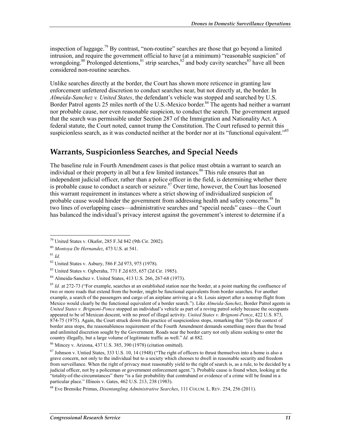inspection of luggage.<sup>79</sup> By contrast, "non-routine" searches are those that go beyond a limited intrusion, and require the government official to have (at a minimum) "reasonable suspicion" of wrongdoing.<sup>80</sup> Prolonged detentions, $81$  strip searches, $82$  and body cavity searches<sup>83</sup> have all been considered non-routine searches.

Unlike searches directly at the border, the Court has shown more reticence in granting law enforcement unfettered discretion to conduct searches near, but not directly at, the border. In *Almeida-Sanchez v. United States*, the defendant's vehicle was stopped and searched by U.S. Border Patrol agents 25 miles north of the U.S.-Mexico border.<sup>84</sup> The agents had neither a warrant nor probable cause, nor even reasonable suspicion, to conduct the search. The government argued that the search was permissible under Section 287 of the Immigration and Nationality Act. A federal statute, the Court noted, cannot trump the Constitution. The Court refused to permit this suspicionless search, as it was conducted neither at the border nor at its "functional equivalent."<sup>85</sup>

#### **Warrants, Suspicionless Searches, and Special Needs**

The baseline rule in Fourth Amendment cases is that police must obtain a warrant to search an individual or their property in all but a few limited instances.<sup>86</sup> This rule ensures that an independent judicial officer, rather than a police officer in the field, is determining whether there is probable cause to conduct a search or seizure. $87$  Over time, however, the Court has loosened this warrant requirement in instances where a strict showing of individualized suspicion of probable cause would hinder the government from addressing health and safety concerns.<sup>88</sup> In two lines of overlapping cases—administrative searches and "special needs" cases—the Court has balanced the individual's privacy interest against the government's interest to determine if a

 $79$  United States v. Okafor, 285 F.3d 842 (9th Cir. 2002).

<sup>80</sup> *Montoya De Hernandez*, 473 U.S. at 541.

 $81 H$ 

<sup>82</sup> United States v. Asbury, 586 F.2d 973, 975 (1978).

<sup>83</sup> United States v. Ogberaha, 771 F.2d 655, 657 (2d Cir. 1985).

<sup>84</sup> Almeida-Sanchez v. United States, 413 U.S. 266, 267-68 (1973).

<sup>&</sup>lt;sup>85</sup> *Id.* at 272-73 ("For example, searches at an established station near the border, at a point marking the confluence of two or more roads that extend from the border, might be functional equivalents from border searches. For another example, a search of the passengers and cargo of an airplane arriving at a St. Louis airport after a nonstop flight from Mexico would clearly be the functional equivalent of a border search."). Like *Almeida-Sanchez*, Border Patrol agents in *United States v. Brignoni-Ponce* stopped an individual's vehicle as part of a roving patrol solely because the occupants appeared to be of Mexican descent, with no proof of illegal activity. *United States v. Brignoni-Ponce*, 422 U.S. 873, 874-75 (1975). Again, the Court struck down this practice of suspicionless stops, remarking that "[i]n the context of border area stops, the reasonableness requirement of the Fourth Amendment demands something more than the broad and unlimited discretion sought by the Government. Roads near the border carry not only aliens seeking to enter the country illegally, but a large volume of legitimate traffic as well." *Id.* at 882.

<sup>86</sup> Mincey v. Arizona, 437 U.S. 385, 390 (1978) (citation omitted).

 $87$  Johnson v. Untied States, 333 U.S. 10, 14 (1948) ("The right of officers to thrust themselves into a home is also a grave concern, not only to the individual but to a society which chooses to dwell in reasonable security and freedom from surveillance. When the right of privacy must reasonably yield to the right of search is, as a rule, to be decided by a judicial officer, not by a policeman or government enforcement agent."). Probable cause is found when, looking at the "totality-of-the-circumstances" there "is a fair probability that contraband or evidence of a crime will be found in a particular place." Illinois v. Gates, 462 U.S. 213, 238 (1983).

<sup>88</sup> Eve Brensike Primus, *Disentangling Administrative Searches*, 111 COLUM. L. REV. 254, 256 (2011).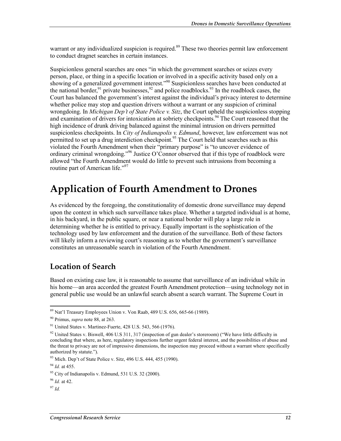warrant or any individualized suspicion is required.<sup>89</sup> These two theories permit law enforcement to conduct dragnet searches in certain instances.

Suspicionless general searches are ones "in which the government searches or seizes every person, place, or thing in a specific location or involved in a specific activity based only on a showing of a generalized government interest."<sup>90</sup> Suspicionless searches have been conducted at the national border,<sup>91</sup> private businesses,<sup>92</sup> and police roadblocks.<sup>93</sup> In the roadblock cases, the Court has balanced the government's interest against the individual's privacy interest to determine whether police may stop and question drivers without a warrant or any suspicion of criminal wrongdoing. In *Michigan Dep't of State Police v. Sitz*, the Court upheld the suspicionless stopping and examination of drivers for intoxication at sobriety checkpoints.<sup>94</sup> The Court reasoned that the high incidence of drunk driving balanced against the minimal intrusion on drivers permitted suspicionless checkpoints. In *City of Indianapolis v. Edmund*, however, law enforcement was not permitted to set up a drug interdiction checkpoint.<sup>95</sup> The Court held that searches such as this violated the Fourth Amendment when their "primary purpose" is "to uncover evidence of ordinary criminal wrongdoing."<sup>96</sup> Justice O'Connor observed that if this type of roadblock were allowed "the Fourth Amendment would do little to prevent such intrusions from becoming a routine part of American life."<sup>97</sup>

### **Application of Fourth Amendment to Drones**

As evidenced by the foregoing, the constitutionality of domestic drone surveillance may depend upon the context in which such surveillance takes place. Whether a targeted individual is at home, in his backyard, in the public square, or near a national border will play a large role in determining whether he is entitled to privacy. Equally important is the sophistication of the technology used by law enforcement and the duration of the surveillance. Both of these factors will likely inform a reviewing court's reasoning as to whether the government's surveillance constitutes an unreasonable search in violation of the Fourth Amendment.

#### **Location of Search**

Based on existing case law, it is reasonable to assume that surveillance of an individual while in his home—an area accorded the greatest Fourth Amendment protection—using technology not in general public use would be an unlawful search absent a search warrant. The Supreme Court in

<sup>97</sup> *Id.* 

 $89$  Nat'l Treasury Employees Union v. Von Raab, 489 U.S. 656, 665-66 (1989).

<sup>90</sup> Primus, *supra* note 88, at 263.

<sup>&</sup>lt;sup>91</sup> United States v. Martinez-Fuerte, 428 U.S. 543, 566 (1976).

 $92$  United States v. Biswell, 406 U.S 311, 317 (inspection of gun dealer's storeroom) ("We have little difficulty in concluding that where, as here, regulatory inspections further urgent federal interest, and the possibilities of abuse and the threat to privacy are not of impressive dimensions, the inspection may proceed without a warrant where specifically authorized by statute.").

<sup>93</sup> Mich. Dep't of State Police v. Sitz, 496 U.S. 444, 455 (1990).

<sup>94</sup> *Id.* at 455.

<sup>95</sup> City of Indianapolis v. Edmund, 531 U.S. 32 (2000).

<sup>96</sup> *Id.* at 42.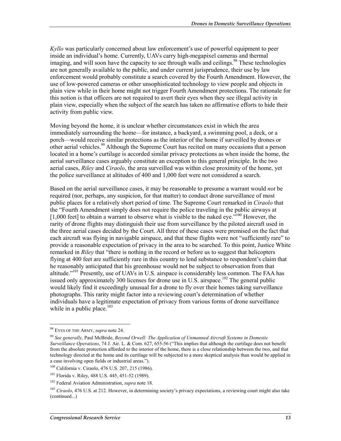*Kyllo* was particularly concerned about law enforcement's use of powerful equipment to peer inside an individual's home. Currently, UAVs carry high-megapixel cameras and thermal imaging, and will soon have the capacity to see through walls and ceilings.<sup>98</sup> These technologies are not generally available to the public, and under current jurisprudence, their use by law enforcement would probably constitute a search covered by the Fourth Amendment. However, the use of low-powered cameras or other unsophisticated technology to view people and objects in plain view while in their home might not trigger Fourth Amendment protections. The rationale for this notion is that officers are not required to avert their eyes when they see illegal activity in plain view, especially when the subject of the search has taken no affirmative efforts to hide their activity from public view.

Moving beyond the home, it is unclear whether circumstances exist in which the area immediately surrounding the home—for instance, a backyard, a swimming pool, a deck, or a porch—would receive similar protections as the interior of the home if surveilled by drones or other aerial vehicles.<sup>99</sup> Although the Supreme Court has recited on many occasions that a person located in a home's curtilage is accorded similar privacy protections as when inside the home, the aerial surveillance cases arguably constitute an exception to this general principle. In the two aerial cases, *Riley* and *Ciraolo*, the area surveilled was within close proximity of the home, yet the police surveillance at altitudes of 400 and 1,000 feet were not considered a search.

Based on the aerial surveillance cases, it may be reasonable to presume a warrant would *not* be required (nor, perhaps, any suspicion, for that matter) to conduct drone surveillance of most public places for a relatively short period of time. The Supreme Court remarked in *Ciraolo* that the "Fourth Amendment simply does not require the police traveling in the public airways at  $[1,000]$  feet] to obtain a warrant to observe what is visible to the naked eye.<sup> $100$ </sup> However, the rarity of drone flights may distinguish their use from surveillance by the piloted aircraft used in the three aerial cases decided by the Court. All three of these cases were premised on the fact that each aircraft was flying in navigable airspace, and that these flights were not "sufficiently rare" to provide a reasonable expectation of privacy in the area to be searched. To this point, Justice White remarked in *Riley* that "there is nothing in the record or before us to suggest that helicopters flying at 400 feet are sufficiently rare in this country to lend substance to respondent's claim that he reasonably anticipated that his greenhouse would not be subject to observation from that altitude."<sup>101</sup> Presently, use of UAVs in U.S. airspace is considerably less common. The FAA has issued only approximately 300 licenses for drone use in U.S. airspace.<sup>102</sup> The general public would likely find it exceedingly unusual for a drone to fly over their homes taking surveillance photographs. This rarity might factor into a reviewing court's determination of whether individuals have a legitimate expectation of privacy from various forms of drone surveillance while in a public place. $103$ 

<sup>98</sup> EYES OF THE ARMY, *supra* note 24.

<sup>99</sup> *See generally,* Paul McBride, *Beyond Orwell: The Application of Unmanned Aircraft Systems in Domestic Surveillance Operations*, 74 J. Air. L. & Com. 627, 655-56 ("This implies that although the curtilage does not benefit from the absolute protection afforded to the interior of the home, there is a close relationship between the two, and that technology directed at the home and its curtilage will be subjected to a more skeptical analysis than would be applied in a case involving open fields or industrial areas.").

<sup>100</sup> California v. Ciraolo, 476 U.S. 207, 215 (1986).

<sup>101</sup> Florida v. Riley, 488 U.S. 445, 451-52 (1989).

<sup>102</sup> Federal Aviation Administration, *supra* note 18.

<sup>103</sup> *Ciraolo*, 476 U.S. at 212. However, in determining society's privacy expectations, a reviewing court might also take (continued...)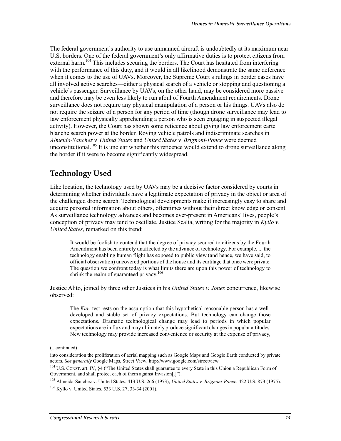The federal government's authority to use unmanned aircraft is undoubtedly at its maximum near U.S. borders. One of the federal government's only affirmative duties is to protect citizens from external harm.<sup>104</sup> This includes securing the borders. The Court has hesitated from interfering with the performance of this duty, and it would in all likelihood demonstrate the same deference when it comes to the use of UAVs. Moreover, the Supreme Court's rulings in border cases have all involved active searches—either a physical search of a vehicle or stopping and questioning a vehicle's passenger. Surveillance by UAVs, on the other hand, may be considered more passive and therefore may be even less likely to run afoul of Fourth Amendment requirements. Drone surveillance does not require any physical manipulation of a person or his things. UAVs also do not require the seizure of a person for any period of time (though drone surveillance may lead to law enforcement physically apprehending a person who is seen engaging in suspected illegal activity). However, the Court has shown some reticence about giving law enforcement carte blanche search power at the border. Roving vehicle patrols and indiscriminate searches in *Almeida-Sanchez v. United States* and *United States v. Brignoni-Ponce* were deemed unconstitutional.<sup>105</sup> It is unclear whether this reticence would extend to drone surveillance along the border if it were to become significantly widespread.

### **Technology Used**

Like location, the technology used by UAVs may be a decisive factor considered by courts in determining whether individuals have a legitimate expectation of privacy in the object or area of the challenged drone search. Technological developments make it increasingly easy to share and acquire personal information about others, oftentimes without their direct knowledge or consent. As surveillance technology advances and becomes ever-present in Americans' lives, people's conception of privacy may tend to oscillate. Justice Scalia, writing for the majority in *Kyllo v. United States*, remarked on this trend:

It would be foolish to contend that the degree of privacy secured to citizens by the Fourth Amendment has been entirely unaffected by the advance of technology. For example, ... the technology enabling human flight has exposed to public view (and hence, we have said, to official observation) uncovered portions of the house and its curtilage that once were private. The question we confront today is what limits there are upon this power of technology to shrink the realm of guaranteed privacy.<sup>106</sup>

Justice Alito, joined by three other Justices in his *United States v. Jones* concurrence, likewise observed:

The *Katz* test rests on the assumption that this hypothetical reasonable person has a welldeveloped and stable set of privacy expectations. But technology can change those expectations. Dramatic technological change may lead to periods in which popular expectations are in flux and may ultimately produce significant changes in popular attitudes. New technology may provide increased convenience or security at the expense of privacy,

<sup>(...</sup>continued)

into consideration the proliferation of aerial mapping such as Google Maps and Google Earth conducted by private actors. *See generally* Google Maps, Street View, http://www.google.com/streetview.

<sup>&</sup>lt;sup>104</sup> U.S. CONST. art. IV, §4 ("The United States shall guarantee to every State in this Union a Republican Form of Government, and shall protect each of them against Invasion[.]").

<sup>105</sup> Almeida-Sanchez v. United States, 413 U.S. 266 (1973); *United States v. Brignoni-Ponce*, 422 U.S. 873 (1975). 106 Kyllo v. United States, 533 U.S. 27, 33-34 (2001).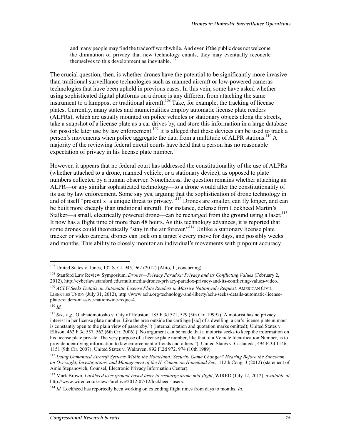and many people may find the tradeoff worthwhile. And even if the public does not welcome the diminution of privacy that new technology entails, they may eventually reconcile themselves to this development as inevitable. $107$ 

The crucial question, then, is whether drones have the potential to be significantly more invasive than traditional surveillance technologies such as manned aircraft or low-powered cameras technologies that have been upheld in previous cases. In this vein, some have asked whether using sophisticated digital platforms on a drone is any different from attaching the same instrument to a lamppost or traditional aircraft.<sup>108</sup> Take, for example, the tracking of license plates. Currently, many states and municipalities employ automatic license plate readers (ALPRs), which are usually mounted on police vehicles or stationary objects along the streets, take a snapshot of a license plate as a car drives by, and store this information in a large database for possible later use by law enforcement.<sup>109</sup> It is alleged that these devices can be used to track a person's movements when police aggregate the data from a multitude of ALPR stations.<sup>110</sup> A majority of the reviewing federal circuit courts have held that a person has no reasonable expectation of privacy in his license plate number.<sup>111</sup>

However, it appears that no federal court has addressed the constitutionality of the use of ALPRs (whether attached to a drone, manned vehicle, or a stationary device), as opposed to plate numbers collected by a human observer. Nonetheless, the question remains whether attaching an ALPR—or any similar sophisticated technology—to a drone would alter the constitutionality of its use by law enforcement. Some say yes, arguing that the sophistication of drone technology in and of itself "present[s] a unique threat to privacy."<sup>112</sup> Drones are smaller, can fly longer, and can be built more cheaply than traditional aircraft. For instance, defense firm Lockheed Martin's Stalker—a small, electrically powered drone—can be recharged from the ground using a laser.<sup>113</sup> It now has a flight time of more than 48 hours. As this technology advances, it is reported that some drones could theoretically "stay in the air forever."<sup>114</sup> Unlike a stationary license plate tracker or video camera, drones can lock on a target's every move for days, and possibly weeks and months. This ability to closely monitor an individual's movements with pinpoint accuracy

<sup>107</sup> United States v. Jones, 132 S. Ct. 945, 962 (2012) (Alito, J., concurring).

<sup>108</sup> Stanford Law Review Symposium, *Drones—Privacy Paradox: Privacy and its Conflicting Values* (February 2, 2012), http://cyberlaw.stanford.edu/multimedia/drones-privacy-paradox-privacy-and-its-conflicting-values-video.

<sup>&</sup>lt;sup>109</sup> *ACLU Seeks Details on Automatic License Plate Readers in Massive Nationwide Request, AMERICAN CIVIL* LIBERTIES UNION (July 31, 2012), http://www.aclu.org/technology-and-liberty/aclu-seeks-details-automatic-licenseplate-readers-massive-nationwide-reque-4.

 $110$  *Id.* 

<sup>111</sup> *See, e.g.*, Olabisiomotosho v. City of Houston, 185 F.3d 521, 529 (5th Cir. 1999) ("A motorist has no privacy interest in her license plate number. Like the area outside the cartilage [sic] of a dwelling, a car's license plate number is constantly open to the plain view of passersby.") (internal citation and quotation marks omitted); United States v. Ellison, 462 F.3d 557, 562 (6th Cir. 2006) ("No argument can be made that a motorist seeks to keep the information on his license plate private. The very purpose of a license plate number, like that of a Vehicle Identification Number, is to provide identifying information to law enforcement officials and others."); United States v. Castaneda, 494 F.3d 1146, 1151 (9th Cir. 2007); United States v. Walraven, 892 F.2d 972, 974 (10th 1989).

<sup>&</sup>lt;sup>112</sup> Using Unmanned Aircraft Systems Within the Homeland: Security Game Changer? Hearing Before the Subcomm. *on Oversight, Investigations, and Management of the H. Comm. on Homeland Sec.*, 112th Cong. 3 (2012) (statement of Amie Stepanovich, Counsel, Electronic Privacy Information Center).

<sup>113</sup> Mark Brown, *Lockheed uses ground-based laser to recharge drone mid-flight*, WIRED (July 12, 2012), *available at* http://www.wired.co.uk/news/archive/2012-07/12/lockheed-lasers.

<sup>114</sup> *Id.* Lockheed has reportedly been working on extending flight times from days to months. *Id.*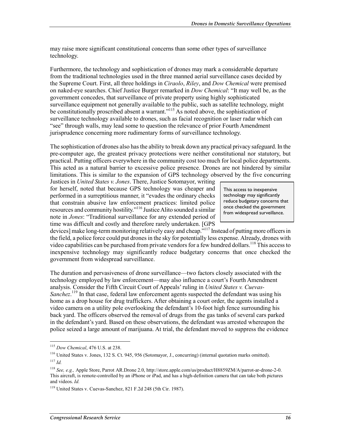may raise more significant constitutional concerns than some other types of surveillance technology.

Furthermore, the technology and sophistication of drones may mark a considerable departure from the traditional technologies used in the three manned aerial surveillance cases decided by the Supreme Court. First, all three holdings in *Ciraolo*, *Riley*, and *Dow Chemical* were premised on naked-eye searches. Chief Justice Burger remarked in *Dow Chemical*: "It may well be, as the government concedes, that surveillance of private property using highly sophisticated surveillance equipment not generally available to the public, such as satellite technology, might be constitutionally proscribed absent a warrant."<sup>115</sup> As noted above, the sophistication of surveillance technology available to drones, such as facial recognition or laser radar which can "see" through walls, may lead some to question the relevance of prior Fourth Amendment jurisprudence concerning more rudimentary forms of surveillance technology.

The sophistication of drones also has the ability to break down any practical privacy safeguard. In the pre-computer age, the greatest privacy protections were neither constitutional nor statutory, but practical. Putting officers everywhere in the community cost too much for local police departments. This acted as a natural barrier to excessive police presence. Drones are not hindered by similar limitations. This is similar to the expansion of GPS technology observed by the five concurring

Justices in *United States v. Jones*. There, Justice Sotomayor, writing for herself, noted that because GPS technology was cheaper and performed in a surreptitious manner, it "evades the ordinary checks that constrain abusive law enforcement practices: limited police resources and community hostility."116 Justice Alito sounded a similar note in *Jones*: "Traditional surveillance for any extended period of time was difficult and costly and therefore rarely undertaken. [GPS

This access to inexpensive technology may significantly reduce budgetary concerns that once checked the government from widespread surveillance.

devices] make long-term monitoring relatively easy and cheap."117 Instead of putting more officers in the field, a police force could put drones in the sky for potentially less expense. Already, drones with video capabilities can be purchased from private vendors for a few hundred dollars.<sup>118</sup> This access to inexpensive technology may significantly reduce budgetary concerns that once checked the government from widespread surveillance.

The duration and pervasiveness of drone surveillance—two factors closely associated with the technology employed by law enforcement—may also influence a court's Fourth Amendment analysis. Consider the Fifth Circuit Court of Appeals' ruling in *United States v. Cuevas-*Sanchez.<sup>119</sup> In that case, federal law enforcement agents suspected the defendant was using his home as a drop house for drug traffickers. After obtaining a court order, the agents installed a video camera on a utility pole overlooking the defendant's 10-foot high fence surrounding his back yard. The officers observed the removal of drugs from the gas tanks of several cars parked in the defendant's yard. Based on these observations, the defendant was arrested whereupon the police seized a large amount of marijuana. At trial, the defendant moved to suppress the evidence

<sup>115</sup> *Dow Chemical*, 476 U.S. at 238.

<sup>116</sup> United States v. Jones, 132 S. Ct. 945, 956 (Sotomayor, J., concurring) (internal quotation marks omitted).  $^{117}$  *Id.* 

<sup>118</sup> *See, e.g.,* Apple Store, Parrot AR.Drone 2.0, http://store.apple.com/us/product/H8859ZM/A/parrot-ar-drone-2-0. This aircraft, is remote-controlled by an iPhone or iPad, and has a high-definition camera that can take both pictures and videos. *Id.*

<sup>119</sup> United States v. Cuevas-Sanchez, 821 F.2d 248 (5th Cir. 1987).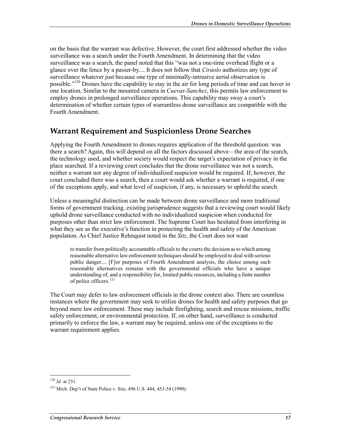on the basis that the warrant was defective. However, the court first addressed whether the video surveillance was a search under the Fourth Amendment. In determining that the video surveillance was a search, the panel noted that this "was not a one-time overhead flight or a glance over the fence by a passer-by.... It does not follow that *Ciraolo* authorizes any type of surveillance whatever just because one type of minimally-intrusive aerial observation is possible."<sup>120</sup> Drones have the capability to stay in the air for long periods of time and can hover in one location. Similar to the mounted camera in *Cuevas-Sanchez*, this permits law enforcement to employ drones in prolonged surveillance operations. This capability may sway a court's determination of whether certain types of warrantless drone surveillance are compatible with the Fourth Amendment.

### **Warrant Requirement and Suspicionless Drone Searches**

Applying the Fourth Amendment to drones requires application of the threshold question: was there a search? Again, this will depend on all the factors discussed above—the area of the search, the technology used, and whether society would respect the target's expectation of privacy in the place searched. If a reviewing court concludes that the drone surveillance was not a search, neither a warrant nor any degree of individualized suspicion would be required. If, however, the court concluded there was a search, then a court would ask whether a warrant is required, if one of the exceptions apply, and what level of suspicion, if any, is necessary to uphold the search.

Unless a meaningful distinction can be made between drone surveillance and more traditional forms of government tracking, existing jurisprudence suggests that a reviewing court would likely uphold drone surveillance conducted with no individualized suspicion when conducted for purposes other than strict law enforcement. The Supreme Court has hesitated from interfering in what they see as the executive's function in protecting the health and safety of the American population. As Chief Justice Rehnquist noted in the *Sitz*, the Court does not want

to transfer from politically accountable officials to the courts the decision as to which among reasonable alternative law enforcement techniques should be employed to deal with serious public danger.... [F]or purposes of Fourth Amendment analysis, the choice among such reasonable alternatives remains with the governmental officials who have a unique understanding of, and a responsibility for, limited public resources, including a finite number of police officers.<sup>121</sup>

The Court may defer to law enforcement officials in the drone context also. There are countless instances where the government may seek to utilize drones for health and safety purposes that go beyond mere law enforcement. These may include firefighting, search and rescue missions, traffic safety enforcement, or environmental protection. If, on other hand, surveillance is conducted primarily to enforce the law, a warrant may be required, unless one of the exceptions to the warrant requirement applies.

<sup>120</sup> *Id.* at 251.

<sup>121</sup> Mich. Dep't of State Police v. Sitz, 496 U.S. 444, 453-54 (1990).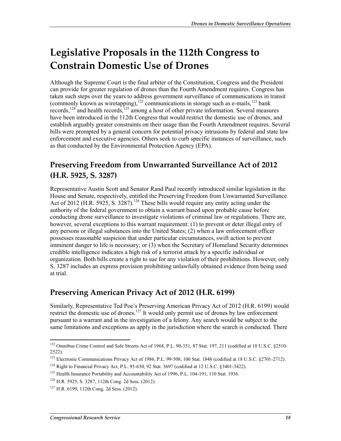# **Legislative Proposals in the 112th Congress to Constrain Domestic Use of Drones**

Although the Supreme Court is the final arbiter of the Constitution, Congress and the President can provide for greater regulation of drones than the Fourth Amendment requires. Congress has taken such steps over the years to address government surveillance of communications in transit (commonly known as wiretapping),<sup>122</sup> communications in storage such as e-mails,<sup>123</sup> bank records,<sup>124</sup> and health records,<sup>125</sup> among a host of other private information. Several measures have been introduced in the 112th Congress that would restrict the domestic use of drones, and establish arguably greater constraints on their usage than the Fourth Amendment requires. Several bills were prompted by a general concern for potential privacy intrusions by federal and state law enforcement and executive agencies. Others seek to curb specific instances of surveillance, such as that conducted by the Environmental Protection Agency (EPA).

### **Preserving Freedom from Unwarranted Surveillance Act of 2012 (H.R. 5925, S. 3287)**

Representative Austin Scott and Senator Rand Paul recently introduced similar legislation in the House and Senate, respectively, entitled the Preserving Freedom from Unwarranted Surveillance Act of 2012 (H.R. 5925, S. 3287).<sup>126</sup> These bills would require any entity acting under the authority of the federal government to obtain a warrant based upon probable cause before conducting drone surveillance to investigate violations of criminal law or regulations. There are, however, several exceptions to this warrant requirement: (1) to prevent or deter illegal entry of any persons or illegal substances into the United States; (2) when a law enforcement officer possesses reasonable suspicion that under particular circumstances, swift action to prevent imminent danger to life is necessary; or (3) when the Secretary of Homeland Security determines credible intelligence indicates a high risk of a terrorist attack by a specific individual or organization. Both bills create a right to sue for any violation of their prohibitions. However, only S. 3287 includes an express provision prohibiting unlawfully obtained evidence from being used at trial.

### **Preserving American Privacy Act of 2012 (H.R. 6199)**

Similarly, Representative Ted Poe's Preserving American Privacy Act of 2012 (H.R. 6199) would restrict the domestic use of drones.<sup>127</sup> It would only permit use of drones by law enforcement pursuant to a warrant and in the investigation of a felony. Any search would be subject to the same limitations and exceptions as apply in the jurisdiction where the search is conducted. There

<sup>1</sup> <sup>122</sup> Omnibus Crime Control and Safe Streets Act of 1968, P.L. 90-351, 87 Stat. 197, 211 (codified at 18 U.S.C. §2510-2522).

<sup>123</sup> Electronic Communications Privacy Act of 1986, P.L. 99-508, 100 Stat. 1848 (codified at 18 U.S.C. §2701-2712).

<sup>124</sup> Right to Financial Privacy Act, P.L. 95-630, 92 Stat. 3697 (codified at 12 U.S.C. §3401-3422).

<sup>&</sup>lt;sup>125</sup> Health Insurance Portability and Accountability Act of 1996, P.L. 104-191, 110 Stat. 1936.

<sup>126</sup> H.R. 5925, S. 3287, 112th Cong. 2d Sess. (2012).

<sup>127</sup> H.R. 6199, 112th Cong. 2d Sess. (2012).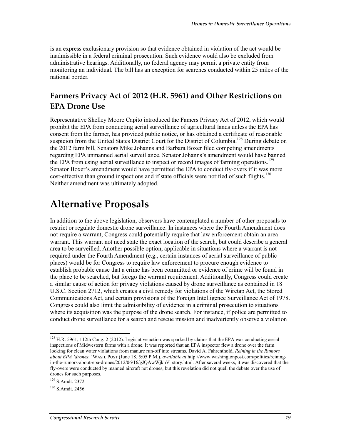is an express exclusionary provision so that evidence obtained in violation of the act would be inadmissible in a federal criminal prosecution. Such evidence would also be excluded from administrative hearings. Additionally, no federal agency may permit a private entity from monitoring an individual. The bill has an exception for searches conducted within 25 miles of the national border.

### **Farmers Privacy Act of 2012 (H.R. 5961) and Other Restrictions on EPA Drone Use**

Representative Shelley Moore Capito introduced the Famers Privacy Act of 2012, which would prohibit the EPA from conducting aerial surveillance of agricultural lands unless the EPA has consent from the farmer, has provided public notice, or has obtained a certificate of reasonable suspicion from the United States District Court for the District of Columbia.<sup>128</sup> During debate on the 2012 farm bill, Senators Mike Johanns and Barbara Boxer filed competing amendments regarding EPA unmanned aerial surveillance. Senator Johanns's amendment would have banned the EPA from using aerial surveillance to inspect or record images of farming operations.<sup>129</sup> Senator Boxer's amendment would have permitted the EPA to conduct fly-overs if it was more cost-effective than ground inspections and if state officials were notified of such flights.<sup>130</sup> Neither amendment was ultimately adopted.

# **Alternative Proposals**

In addition to the above legislation, observers have contemplated a number of other proposals to restrict or regulate domestic drone surveillance. In instances where the Fourth Amendment does not require a warrant, Congress could potentially require that law enforcement obtain an area warrant. This warrant not need state the exact location of the search, but could describe a general area to be surveilled. Another possible option, applicable in situations where a warrant is not required under the Fourth Amendment (e.g., certain instances of aerial surveillance of public places) would be for Congress to require law enforcement to procure enough evidence to establish probable cause that a crime has been committed or evidence of crime will be found in the place to be searched, but forego the warrant requirement. Additionally, Congress could create a similar cause of action for privacy violations caused by drone surveillance as contained in 18 U.S.C. Section 2712, which creates a civil remedy for violations of the Wiretap Act, the Stored Communications Act, and certain provisions of the Foreign Intelligence Surveillance Act of 1978. Congress could also limit the admissibility of evidence in a criminal prosecution to situations where its acquisition was the purpose of the drone search. For instance, if police are permitted to conduct drone surveillance for a search and rescue mission and inadvertently observe a violation

<sup>&</sup>lt;sup>128</sup> H.R. 5961, 112th Cong. 2 (2012). Legislative action was sparked by claims that the EPA was conducting aerial inspections of Midwestern farms with a drone. It was reported that an EPA inspector flew a drone over the farm looking for clean water violations from manure run-off into streams. David A. Fahrenthold, *Reining in the Rumors about EPA 'drones,'* WASH. POST (June 18, 5:05 P.M.), *available at* http://www.washingtonpost.com/politics/reiningin-the-rumors-about-epa-drones/2012/06/16/gJQAwWjkhV\_story.html. After several weeks, it was discovered that the fly-overs were conducted by manned aircraft not drones, but this revelation did not quell the debate over the use of drones for such purposes.

<sup>129</sup> S.Amdt. 2372.

<sup>130</sup> S.Amdt. 2456.